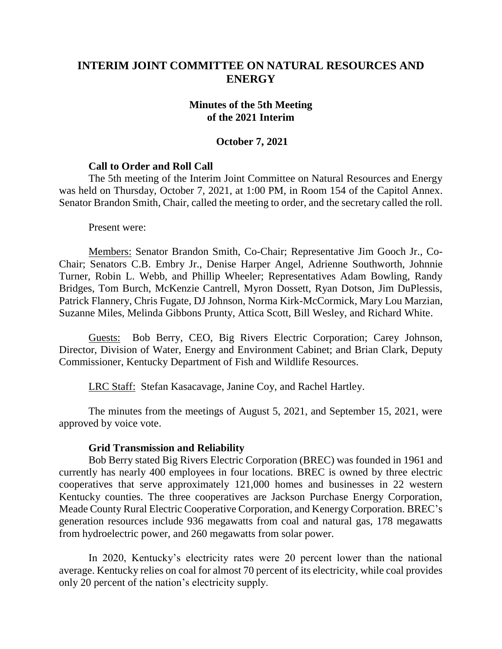# **INTERIM JOINT COMMITTEE ON NATURAL RESOURCES AND ENERGY**

### **Minutes of the 5th Meeting of the 2021 Interim**

### **October 7, 2021**

### **Call to Order and Roll Call**

The 5th meeting of the Interim Joint Committee on Natural Resources and Energy was held on Thursday, October 7, 2021, at 1:00 PM, in Room 154 of the Capitol Annex. Senator Brandon Smith, Chair, called the meeting to order, and the secretary called the roll.

Present were:

Members: Senator Brandon Smith, Co-Chair; Representative Jim Gooch Jr., Co-Chair; Senators C.B. Embry Jr., Denise Harper Angel, Adrienne Southworth, Johnnie Turner, Robin L. Webb, and Phillip Wheeler; Representatives Adam Bowling, Randy Bridges, Tom Burch, McKenzie Cantrell, Myron Dossett, Ryan Dotson, Jim DuPlessis, Patrick Flannery, Chris Fugate, DJ Johnson, Norma Kirk-McCormick, Mary Lou Marzian, Suzanne Miles, Melinda Gibbons Prunty, Attica Scott, Bill Wesley, and Richard White.

Guests: Bob Berry, CEO, Big Rivers Electric Corporation; Carey Johnson, Director, Division of Water, Energy and Environment Cabinet; and Brian Clark, Deputy Commissioner, Kentucky Department of Fish and Wildlife Resources.

LRC Staff: Stefan Kasacavage, Janine Coy, and Rachel Hartley.

The minutes from the meetings of August 5, 2021, and September 15, 2021, were approved by voice vote.

#### **Grid Transmission and Reliability**

Bob Berry stated Big Rivers Electric Corporation (BREC) was founded in 1961 and currently has nearly 400 employees in four locations. BREC is owned by three electric cooperatives that serve approximately 121,000 homes and businesses in 22 western Kentucky counties. The three cooperatives are Jackson Purchase Energy Corporation, Meade County Rural Electric Cooperative Corporation, and Kenergy Corporation. BREC's generation resources include 936 megawatts from coal and natural gas, 178 megawatts from hydroelectric power, and 260 megawatts from solar power.

In 2020, Kentucky's electricity rates were 20 percent lower than the national average. Kentucky relies on coal for almost 70 percent of its electricity, while coal provides only 20 percent of the nation's electricity supply.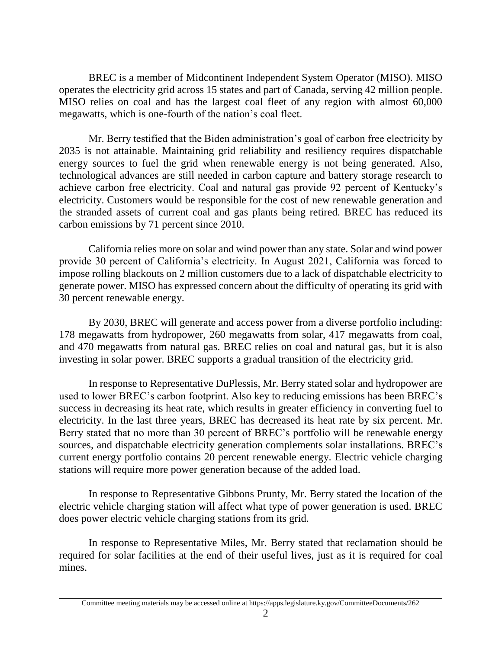BREC is a member of Midcontinent Independent System Operator (MISO). MISO operates the electricity grid across 15 states and part of Canada, serving 42 million people. MISO relies on coal and has the largest coal fleet of any region with almost 60,000 megawatts, which is one-fourth of the nation's coal fleet.

Mr. Berry testified that the Biden administration's goal of carbon free electricity by 2035 is not attainable. Maintaining grid reliability and resiliency requires dispatchable energy sources to fuel the grid when renewable energy is not being generated. Also, technological advances are still needed in carbon capture and battery storage research to achieve carbon free electricity. Coal and natural gas provide 92 percent of Kentucky's electricity. Customers would be responsible for the cost of new renewable generation and the stranded assets of current coal and gas plants being retired. BREC has reduced its carbon emissions by 71 percent since 2010.

California relies more on solar and wind power than any state. Solar and wind power provide 30 percent of California's electricity. In August 2021, California was forced to impose rolling blackouts on 2 million customers due to a lack of dispatchable electricity to generate power. MISO has expressed concern about the difficulty of operating its grid with 30 percent renewable energy.

By 2030, BREC will generate and access power from a diverse portfolio including: 178 megawatts from hydropower, 260 megawatts from solar, 417 megawatts from coal, and 470 megawatts from natural gas. BREC relies on coal and natural gas, but it is also investing in solar power. BREC supports a gradual transition of the electricity grid.

In response to Representative DuPlessis, Mr. Berry stated solar and hydropower are used to lower BREC's carbon footprint. Also key to reducing emissions has been BREC's success in decreasing its heat rate, which results in greater efficiency in converting fuel to electricity. In the last three years, BREC has decreased its heat rate by six percent. Mr. Berry stated that no more than 30 percent of BREC's portfolio will be renewable energy sources, and dispatchable electricity generation complements solar installations. BREC's current energy portfolio contains 20 percent renewable energy. Electric vehicle charging stations will require more power generation because of the added load.

In response to Representative Gibbons Prunty, Mr. Berry stated the location of the electric vehicle charging station will affect what type of power generation is used. BREC does power electric vehicle charging stations from its grid.

In response to Representative Miles, Mr. Berry stated that reclamation should be required for solar facilities at the end of their useful lives, just as it is required for coal mines.

Committee meeting materials may be accessed online at https://apps.legislature.ky.gov/CommitteeDocuments/262